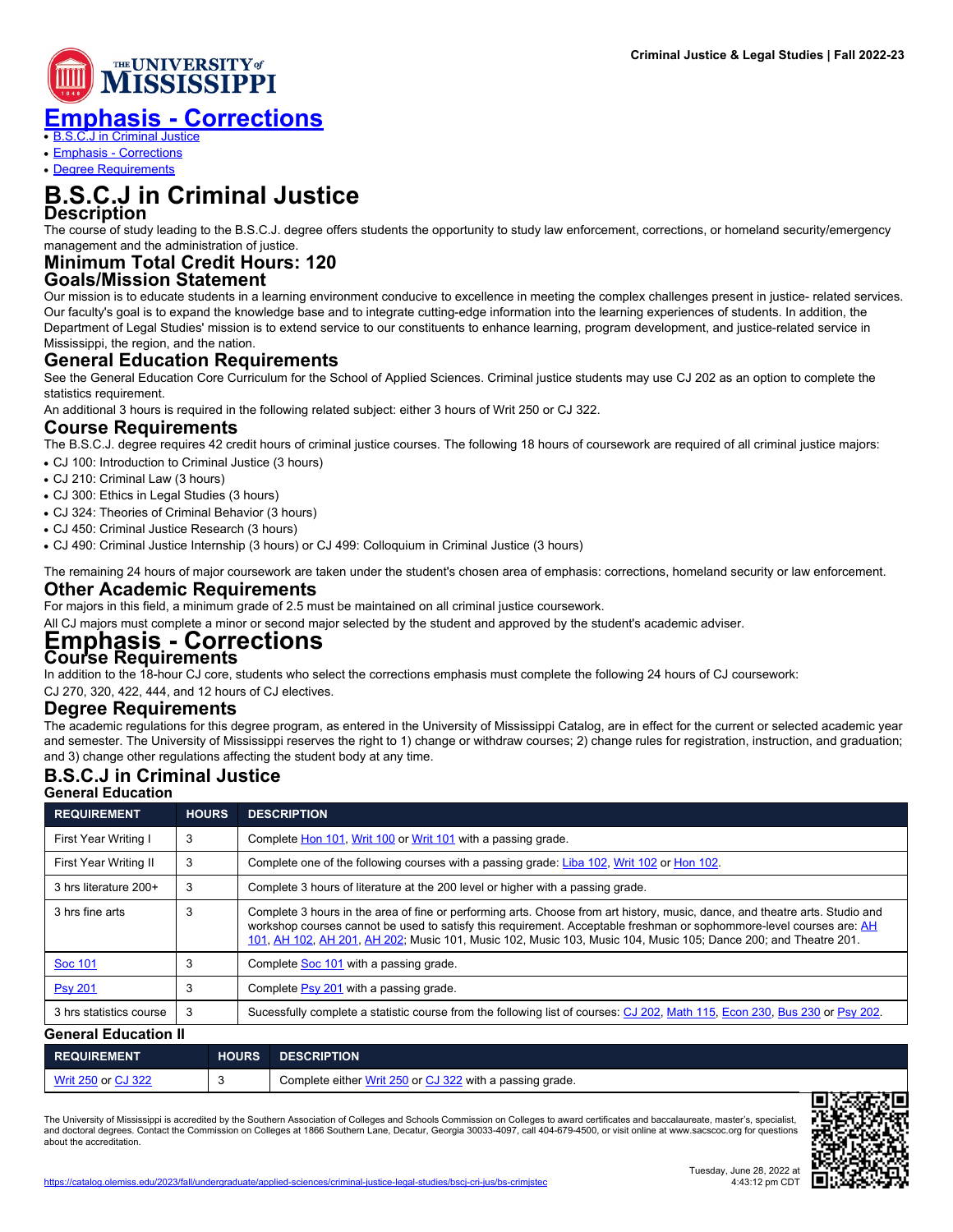

● [B.S.C.J in Criminal Justice](https://catalog.olemiss.edu/applied-sciences/criminal-justice-legal-studies/bscj-cri-jus/bs-crimjstec.pdf#Program-10232865)

• [Emphasis - Corrections](https://catalog.olemiss.edu/applied-sciences/criminal-justice-legal-studies/bscj-cri-jus/bs-crimjstec.pdf#Specialization-10877801)

• [Degree Requirements](https://catalog.olemiss.edu/applied-sciences/criminal-justice-legal-studies/bscj-cri-jus/bs-crimjstec.pdf#DegreeRequirements)

# **B.S.C.J in Criminal Justice Description**

The course of study leading to the B.S.C.J. degree offers students the opportunity to study law enforcement, corrections, or homeland security/emergency management and the administration of justice.

#### **Minimum Total Credit Hours: 120 Goals/Mission Statement**

Our mission is to educate students in a learning environment conducive to excellence in meeting the complex challenges present in justice- related services. Our faculty's goal is to expand the knowledge base and to integrate cutting-edge information into the learning experiences of students. In addition, the Department of Legal Studies' mission is to extend service to our constituents to enhance learning, program development, and justice-related service in Mississippi, the region, and the nation.

# **General Education Requirements**

See the General Education Core Curriculum for the School of Applied Sciences. Criminal justice students may use CJ 202 as an option to complete the statistics requirement.

An additional 3 hours is required in the following related subject: either 3 hours of Writ 250 or CJ 322.

# **Course Requirements**

The B.S.C.J. degree requires 42 credit hours of criminal justice courses. The following 18 hours of coursework are required of all criminal justice majors:

• CJ 100: Introduction to Criminal Justice (3 hours)

- CJ 210: Criminal Law (3 hours)
- CJ 300: Ethics in Legal Studies (3 hours)
- CJ 324: Theories of Criminal Behavior (3 hours)
- CJ 450: Criminal Justice Research (3 hours)
- CJ 490: Criminal Justice Internship (3 hours) or CJ 499: Colloquium in Criminal Justice (3 hours)

The remaining 24 hours of major coursework are taken under the student's chosen area of emphasis: corrections, homeland security or law enforcement.

# **Other Academic Requirements**

For majors in this field, a minimum grade of 2.5 must be maintained on all criminal justice coursework.

All CJ majors must complete a minor or second major selected by the student and approved by the student's academic adviser.

### **Emphasis - Corrections Course Requirements**

In addition to the 18-hour CJ core, students who select the corrections emphasis must complete the following 24 hours of CJ coursework:

CJ 270, 320, 422, 444, and 12 hours of CJ electives.

### **Degree Requirements**

The academic regulations for this degree program, as entered in the University of Mississippi Catalog, are in effect for the current or selected academic year and semester. The University of Mississippi reserves the right to 1) change or withdraw courses; 2) change rules for registration, instruction, and graduation; and 3) change other regulations affecting the student body at any time.

#### **B.S.C.J in Criminal Justice General Education**

| OBIIBI AL CUUCAUUII         |              |                                                                                                                                                                                                                                                                                                                                                                         |  |  |  |
|-----------------------------|--------------|-------------------------------------------------------------------------------------------------------------------------------------------------------------------------------------------------------------------------------------------------------------------------------------------------------------------------------------------------------------------------|--|--|--|
| <b>REQUIREMENT</b>          | <b>HOURS</b> | <b>DESCRIPTION</b>                                                                                                                                                                                                                                                                                                                                                      |  |  |  |
| First Year Writing I        | 3            | Complete Hon 101, Writ 100 or Writ 101 with a passing grade.                                                                                                                                                                                                                                                                                                            |  |  |  |
| First Year Writing II       | 3            | Complete one of the following courses with a passing grade: Liba 102, Writ 102 or Hon 102.                                                                                                                                                                                                                                                                              |  |  |  |
| 3 hrs literature 200+       | 3            | Complete 3 hours of literature at the 200 level or higher with a passing grade.                                                                                                                                                                                                                                                                                         |  |  |  |
| 3 hrs fine arts             | 3            | Complete 3 hours in the area of fine or performing arts. Choose from art history, music, dance, and theatre arts. Studio and<br>workshop courses cannot be used to satisfy this requirement. Acceptable freshman or sophommore-level courses are: AH<br>101, AH 102, AH 201, AH 202; Music 101, Music 102, Music 103, Music 104, Music 105; Dance 200; and Theatre 201. |  |  |  |
| Soc 101                     | 3            | Complete Soc 101 with a passing grade.                                                                                                                                                                                                                                                                                                                                  |  |  |  |
| <b>Psy 201</b>              | 3            | Complete Psy 201 with a passing grade.                                                                                                                                                                                                                                                                                                                                  |  |  |  |
| 3 hrs statistics course     | -3           | Sucessfully complete a statistic course from the following list of courses: CJ 202, Math 115, Econ 230, Bus 230 or Psy 202.                                                                                                                                                                                                                                             |  |  |  |
| <b>General Education II</b> |              |                                                                                                                                                                                                                                                                                                                                                                         |  |  |  |
|                             |              |                                                                                                                                                                                                                                                                                                                                                                         |  |  |  |

| <b>REQUIREMENT</b>   | <b>HOURS</b> | <b>DESCRIPTION</b>                                       |
|----------------------|--------------|----------------------------------------------------------|
| Writ 250 or $CJ$ 322 |              | Complete either Writ 250 or CJ 322 with a passing grade. |
|                      |              | 医双角产卵                                                    |

The University of Mississippi is accredited by the Southern Association of Colleges and Schools Commission on Colleges to award certificates and baccalaureate, master's, specialist,<br>and doctoral degrees. Contact the Commis about the accreditation.



**Criminal Justice & Legal Studies | Fall 2022-23**